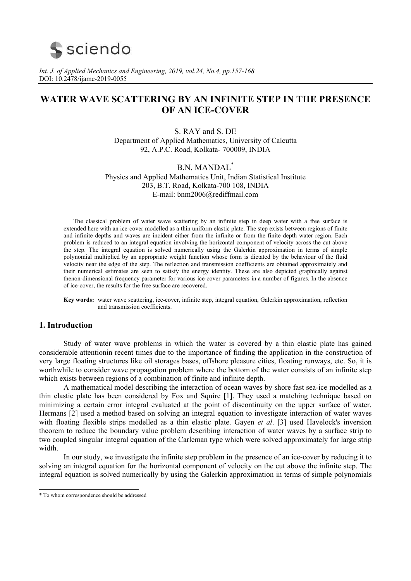# **S** sciendo

*Int. J. of Applied Mechanics and Engineering, 2019, vol.24, No.4, pp.157-168*  DOI: 10.2478/ijame-2019-0055

## **WATER WAVE SCATTERING BY AN INFINITE STEP IN THE PRESENCE OF AN ICE-COVER**

S. RAY and S. DE Department of Applied Mathematics, University of Calcutta 92, A.P.C. Road, Kolkata- 700009, INDIA

B.N. MANDAL\* Physics and Applied Mathematics Unit, Indian Statistical Institute 203, B.T. Road, Kolkata-700 108, INDIA E-mail: bnm2006@rediffmail.com

The classical problem of water wave scattering by an infinite step in deep water with a free surface is extended here with an ice-cover modelled as a thin uniform elastic plate. The step exists between regions of finite and infinite depths and waves are incident either from the infinite or from the finite depth water region. Each problem is reduced to an integral equation involving the horizontal component of velocity across the cut above the step. The integral equation is solved numerically using the Galerkin approximation in terms of simple polynomial multiplied by an appropriate weight function whose form is dictated by the behaviour of the fluid velocity near the edge of the step. The reflection and transmission coefficients are obtained approximately and their numerical estimates are seen to satisfy the energy identity. These are also depicted graphically against thenon-dimensional frequency parameter for various ice-cover parameters in a number of figures. In the absence of ice-cover, the results for the free surface are recovered.

**Key words:** water wave scattering, ice-cover, infinite step, integral equation, Galerkin approximation, reflection and transmission coefficients.

## **1. Introduction**

 Study of water wave problems in which the water is covered by a thin elastic plate has gained considerable attentionin recent times due to the importance of finding the application in the construction of very large floating structures like oil storages bases, offshore pleasure cities, floating runways, etc. So, it is worthwhile to consider wave propagation problem where the bottom of the water consists of an infinite step which exists between regions of a combination of finite and infinite depth.

 A mathematical model describing the interaction of ocean waves by shore fast sea-ice modelled as a thin elastic plate has been considered by Fox and Squire [1]. They used a matching technique based on minimizing a certain error integral evaluated at the point of discontinuity on the upper surface of water. Hermans [2] used a method based on solving an integral equation to investigate interaction of water waves with floating flexible strips modelled as a thin elastic plate. Gayen *et al*. [3] used Havelock's inversion theorem to reduce the boundary value problem describing interaction of water waves by a surface strip to two coupled singular integral equation of the Carleman type which were solved approximately for large strip width.

 In our study, we investigate the infinite step problem in the presence of an ice-cover by reducing it to solving an integral equation for the horizontal component of velocity on the cut above the infinite step. The integral equation is solved numerically by using the Galerkin approximation in terms of simple polynomials

l

<sup>\*</sup> To whom correspondence should be addressed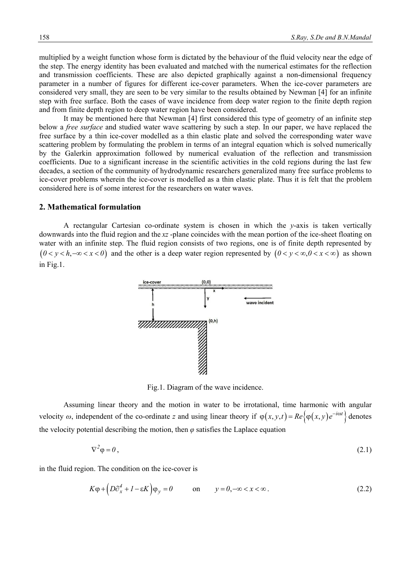multiplied by a weight function whose form is dictated by the behaviour of the fluid velocity near the edge of the step. The energy identity has been evaluated and matched with the numerical estimates for the reflection and transmission coefficients. These are also depicted graphically against a non-dimensional frequency parameter in a number of figures for different ice-cover parameters. When the ice-cover parameters are considered very small, they are seen to be very similar to the results obtained by Newman [4] for an infinite step with free surface. Both the cases of wave incidence from deep water region to the finite depth region and from finite depth region to deep water region have been considered.

It may be mentioned here that Newman [4] first considered this type of geometry of an infinite step below a *free surface* and studied water wave scattering by such a step. In our paper, we have replaced the free surface by a thin ice-cover modelled as a thin elastic plate and solved the corresponding water wave scattering problem by formulating the problem in terms of an integral equation which is solved numerically by the Galerkin approximation followed by numerical evaluation of the reflection and transmission coefficients. Due to a significant increase in the scientific activities in the cold regions during the last few decades, a section of the community of hydrodynamic researchers generalized many free surface problems to ice-cover problems wherein the ice-cover is modelled as a thin elastic plate. Thus it is felt that the problem considered here is of some interest for the researchers on water waves.

#### **2. Mathematical formulation**

 A rectangular Cartesian co-ordinate system is chosen in which the *y*-axis is taken vertically downwards into the fluid region and the *xz* -plane coincides with the mean portion of the ice-sheet floating on water with an infinite step. The fluid region consists of two regions, one is of finite depth represented by  $(0 < v < h, -\infty < x < 0)$  and the other is a deep water region represented by  $(0 < v < \infty, 0 < x < \infty)$  as shown in Fig.1.



Fig.1. Diagram of the wave incidence.

 Assuming linear theory and the motion in water to be irrotational, time harmonic with angular velocity  $\omega$ , independent of the co-ordinate *z* and using linear theory if  $\varphi(x, y, t) = Re \{ \varphi(x, y) e^{-i\omega t} \}$  denotes the velocity potential describing the motion, then *φ* satisfies the Laplace equation

$$
\nabla^2 \varphi = 0 \,, \tag{2.1}
$$

in the fluid region. The condition on the ice-cover is

$$
K\varphi + \left( D\partial_x^4 + I - \varepsilon K \right) \varphi_y = 0 \qquad \text{on} \qquad y = 0, -\infty < x < \infty \,.
$$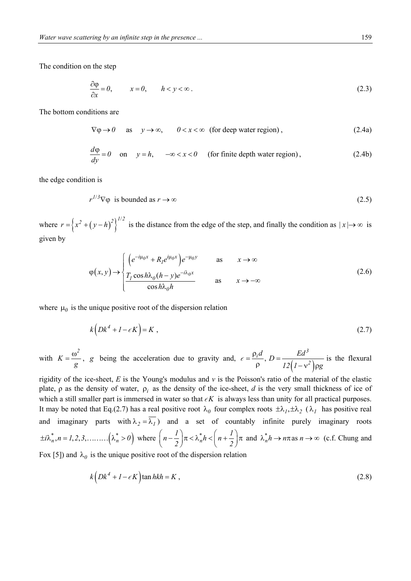The condition on the step

$$
\frac{\partial \varphi}{\partial x} = 0, \qquad x = 0, \qquad h < y < \infty \,. \tag{2.3}
$$

The bottom conditions are

$$
\nabla \varphi \to 0 \quad \text{as} \quad y \to \infty, \qquad 0 < x < \infty \quad \text{(for deep water region)}, \tag{2.4a}
$$

$$
\frac{d\varphi}{dy} = 0 \quad \text{on} \quad y = h, \quad -\infty < x < 0 \quad \text{(for finite depth water region)}, \tag{2.4b}
$$

the edge condition is

$$
r^{1/3}\nabla\varphi \text{ is bounded as } r \to \infty \tag{2.5}
$$

where  $r = (x^2 + (y - h)^2)^{1/2}$  is the distance from the edge of the step, and finally the condition as  $|x| \to \infty$  is given by

$$
\varphi(x, y) \rightarrow \begin{cases}\n\left(e^{-i\mu_0 x} + R_l e^{i\mu_0 x}\right) e^{-\mu_0 y} & \text{as} & x \rightarrow \infty \\
\frac{T_l \cos h \lambda_0 (h - y) e^{-i\lambda_0 x}}{\cosh \lambda_0 h} & \text{as} & x \rightarrow -\infty\n\end{cases}
$$
\n(2.6)

where  $\mu_0$  is the unique positive root of the dispersion relation

$$
k\left(Dk^4 + I - \epsilon K\right) = K \tag{2.7}
$$

with *2 K g*  $=\frac{\omega^2}{g}$ , *g* being the acceleration due to gravity and,  $\epsilon = \frac{\rho_i d}{\rho}$ ,  $D = \frac{E d^3}{12(1 - v^2)\rho^2}$  $\frac{d}{d}$   $D = \frac{Ed^3}{d}$  $\frac{d}{dx}$ ,  $D = \frac{Ed^3}{12(1-x^2)}$  $12(1 - v^2)$  pg  $=\frac{\rho_i d}{\rho}$ , D =  $\epsilon = \frac{P_l^2}{\rho}$ ,  $D = \frac{2a}{12(1 - v^2) \rho g}$  is the flexural

rigidity of the ice-sheet, *E* is the Young's modulus and *ν* is the Poisson's ratio of the material of the elastic plate,  $\rho$  as the density of water,  $\rho_i$  as the density of the ice-sheet, *d* is the very small thickness of ice of which a still smaller part is immersed in water so that  $\epsilon K$  is always less than unity for all practical purposes. It may be noted that Eq.(2.7) has a real positive root  $\lambda_0$  four complex roots  $\pm \lambda_1, \pm \lambda_2$  ( $\lambda_1$  has positive real and imaginary parts with  $\lambda_2 = \overline{\lambda_1}$  and a set of countably infinite purely imaginary roots  $\pm i\lambda_n^*, n = 1, 2, 3, \dots$   $\left(\lambda_n^* > 0\right)$  where  $\left(n - \frac{1}{2}\right)\pi < \lambda_n^* h < \left(n + \frac{1}{2}\right)$  $\left(n-\frac{l}{2}\right)\pi < \lambda_n^* h < \left(n+\frac{l}{2}\right)\pi$  and  $\lambda_n^* h \to n\pi$  as  $n \to \infty$  (c.f. Chung and Fox [5]) and  $\lambda_0$  is the unique positive root of the dispersion relation

$$
k\left(Dk^4 + I - \epsilon K\right)\tan hkh = K\,,\tag{2.8}
$$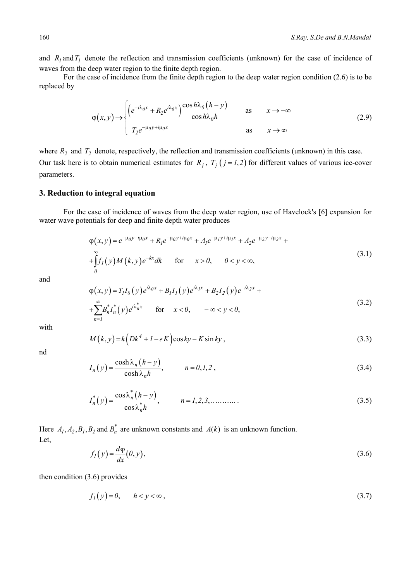and  $R_I$  and  $T_I$  denote the reflection and transmission coefficients (unknown) for the case of incidence of waves from the deep water region to the finite depth region.

 For the case of incidence from the finite depth region to the deep water region condition (2.6) is to be replaced by

$$
\varphi(x, y) \to \begin{cases} \left( e^{-i\lambda_0 x} + R_2 e^{i\lambda_0 x} \right) \frac{\cos h\lambda_0 (h - y)}{\cos h\lambda_0 h} & \text{as} & x \to -\infty \\ T_2 e^{-\mu_0 y + i\mu_0 x} & \text{as} & x \to \infty \end{cases}
$$
 (2.9)

where  $R_2$  and  $T_2$  denote, respectively, the reflection and transmission coefficients (unknown) in this case. Our task here is to obtain numerical estimates for  $R_j$ ,  $T_j$  ( $j = 1, 2$ ) for different values of various ice-cover parameters.

## **3. Reduction to integral equation**

 For the case of incidence of waves from the deep water region, use of Havelock's [6] expansion for water wave potentials for deep and finite depth water produces

$$
\varphi(x, y) = e^{-\mu_0 y - i\mu_0 x} + R_1 e^{-\mu_0 y + i\mu_0 x} + A_1 e^{-\mu_1 y + i\mu_1 x} + A_2 e^{-\mu_2 y - i\mu_2 x} + \int_0^\infty f_1(y) M(k, y) e^{-kx} dk \quad \text{for} \quad x > 0, \quad 0 < y < \infty,
$$
\n(3.1)

and

$$
\varphi(x, y) = T_I I_0(y) e^{i\lambda_0 x} + B_I I_1(y) e^{i\lambda_1 x} + B_2 I_2(y) e^{-i\lambda_2 x} +
$$
  
+ 
$$
\sum_{n=1}^{\infty} B_n^* I_n^*(y) e^{i\lambda_n^* x} \quad \text{for} \quad x < 0, \quad -\infty < y < 0,
$$
 (3.2)

with

$$
M(k, y) = k \left( Dk^4 + l - \epsilon K \right) \cos ky - K \sin ky , \qquad (3.3)
$$

nd

$$
I_n(y) = \frac{\cosh \lambda_n (h - y)}{\cosh \lambda_n h}, \qquad n = 0, 1, 2,
$$
\n(3.4)

$$
I_n^*(y) = \frac{\cos \lambda_n^*(h - y)}{\cos \lambda_n^* h}, \qquad n = 1, 2, 3, \dots \dots \dots \tag{3.5}
$$

Here  $A_1, A_2, B_1, B_2$  and  $B_n^*$  are unknown constants and  $A(k)$  is an unknown function. Let,

$$
f_I(y) = \frac{d\varphi}{dx}(0, y),\tag{3.6}
$$

then condition (3.6) provides

$$
f_I(y) = 0, \qquad h < y < \infty \tag{3.7}
$$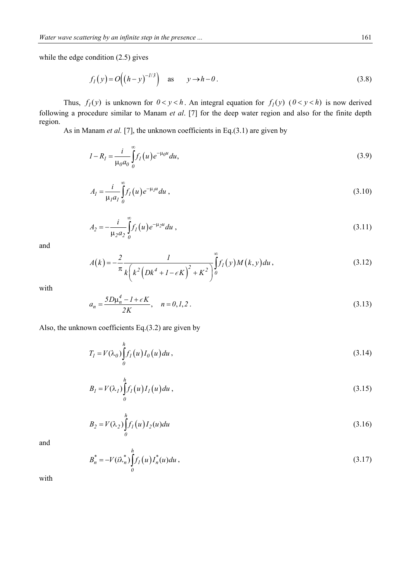while the edge condition  $(2.5)$  gives

$$
f_I(y) = O\Big((h-y)^{-1/3}\Big) \quad \text{as} \qquad y \to h - 0. \tag{3.8}
$$

Thus,  $f_l(y)$  is unknown for  $0 < y < h$ . An integral equation for  $f_l(y)$   $(0 < y < h)$  is now derived following a procedure similar to Manam *et al*. [7] for the deep water region and also for the finite depth region.

As in Manam *et al.* [7], the unknown coefficients in Eq.(3.1) are given by

$$
I - R_I = \frac{i}{\mu_0 a_0} \int_0^{\infty} f_I(u) e^{-\mu_0 u} du,
$$
\n(3.9)

$$
A_{I} = \frac{i}{\mu_{I} a_{I}} \int_{0}^{\infty} f_{I}(u) e^{-\mu_{I} u} du , \qquad (3.10)
$$

$$
A_2 = -\frac{i}{\mu_2 a_2} \int_0^{\infty} f_I(u) e^{-\mu_2 u} du , \qquad (3.11)
$$

and

$$
A(k) = -\frac{2}{\pi} \frac{l}{k \left(k^2 \left(Dk^4 + 1 - \epsilon K\right)^2 + K^2\right)} \int_0^\infty f_I(y) M(k, y) du,
$$
\n(3.12)

with

$$
a_n = \frac{5D\mu_n^4 - 1 + \epsilon K}{2K}, \quad n = 0, 1, 2. \tag{3.13}
$$

Also, the unknown coefficients Eq.(3.2) are given by

$$
T_I = V(\lambda_0) \int_0^h f_I(u) I_0(u) du,
$$
\n(3.14)

$$
B_I = V(\lambda_I) \int_0^h f_I(u) I_I(u) du , \qquad (3.15)
$$

$$
B_2 = V(\lambda_2) \int_0^h f_1(u) I_2(u) du
$$
\n(3.16)

and

$$
B_n^* = -V(i\lambda_n^*) \int_0^h f_l(u) du,
$$
\n(3.17)

with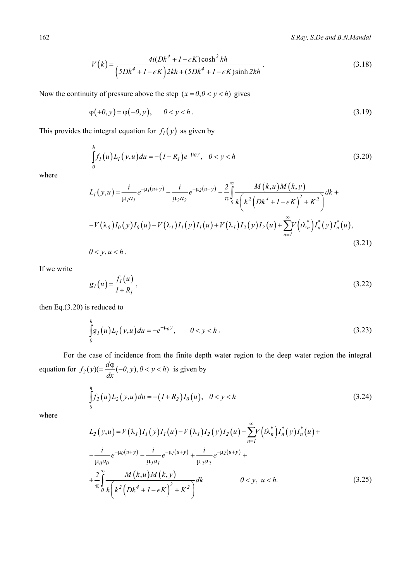$$
V(k) = \frac{4i(Dk^4 + I - \epsilon K)\cosh^2 kh}{\left(5Dk^4 + I - \epsilon K\right)2kh + \left(5Dk^4 + I - \epsilon K\right)\sinh 2kh}.
$$
\n(3.18)

Now the continuity of pressure above the step  $(x = 0, 0 < y < h)$  gives

$$
\varphi(+0, y) = \varphi(-0, y), \qquad 0 < y < h \tag{3.19}
$$

This provides the integral equation for  $f_I(y)$  as given by

$$
\int_{0}^{h} f_{1}(u) L_{1}(y, u) du = -(I + R_{1}) e^{-\mu_{0} y}, \quad 0 < y < h
$$
\n(3.20)

where

$$
L_{I}(y, u) = \frac{i}{\mu_{I}a_{I}} e^{-\mu_{I}(u+y)} - \frac{i}{\mu_{2}a_{2}} e^{-\mu_{2}(u+y)} - \frac{2}{\pi} \int_{0}^{\infty} \frac{M(k, u)M(k, y)}{k(k^{2}(Dk^{4} + 1 - \epsilon K)^{2} + K^{2})} dk +
$$
  
-V(\lambda\_{0})I\_{0}(y)I\_{0}(u) - V(\lambda\_{I})I\_{I}(y)I\_{I}(u) + V(\lambda\_{I})I\_{2}(y)I\_{2}(u) + \sum\_{n=1}^{\infty} V(i\lambda\_{n}^{\*})I\_{n}^{\*}(y)I\_{n}^{\*}(u), (3.21)

 $0 < y, u < h$ .

If we write

$$
g_I(u) = \frac{f_I(u)}{I + R_I},
$$
\n(3.22)

then Eq.(3.20) is reduced to

$$
\int_{0}^{h} g_{1}(u) L_{1}(y, u) du = -e^{-\mu_{0} y}, \qquad 0 < y < h.
$$
\n(3.23)

 For the case of incidence from the finite depth water region to the deep water region the integral equation for  $f_2(y) (= \frac{d\phi}{dx}(-\theta, y), 0 < y < h)$ *dx*  $=\frac{d\varphi}{dt}(-0, y), 0 < y < h$ ) is given by

$$
\int_{0}^{h} f_{2}(u)L_{2}(y,u)du = -(I+R_{2})I_{0}(u), \quad 0 < y < h
$$
\n(3.24)

where

$$
L_{2}(y, u) = V(\lambda_{1})I_{1}(y)I_{1}(u) - V(\lambda_{1})I_{2}(y)I_{2}(u) - \sum_{n=1}^{\infty}V(i\lambda_{n}^{*})I_{n}^{*}(y)I_{n}^{*}(u) +
$$
  

$$
-\frac{i}{\mu_{0}a_{0}}e^{-\mu_{0}(u+y)} - \frac{i}{\mu_{1}a_{1}}e^{-\mu_{1}(u+y)} + \frac{i}{\mu_{2}a_{2}}e^{-\mu_{2}(u+y)} +
$$
  

$$
+\frac{2}{\pi}\int_{0}^{\infty}\frac{M(k, u)M(k, y)}{k(k^{2}(Dk^{4} + 1 - \epsilon K)^{2} + K^{2})}dk
$$
 0 < y, u < h. \t(3.25)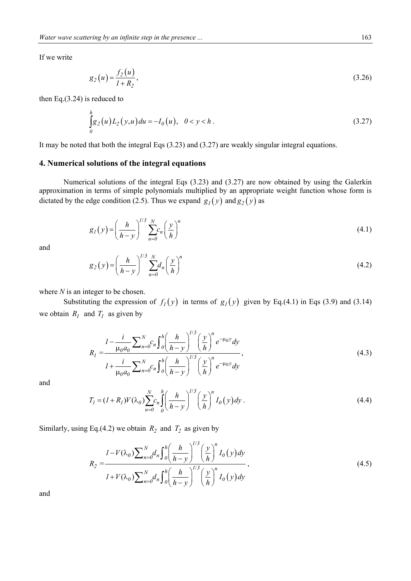If we write

$$
g_2(u) = \frac{f_2(u)}{1 + R_2},
$$
\n(3.26)

then Eq.(3.24) is reduced to

$$
\int_{0}^{h} g_{2}(u) L_{2}(y, u) du = -I_{0}(u), \quad 0 < y < h.
$$
\n(3.27)

It may be noted that both the integral Eqs (3.23) and (3.27) are weakly singular integral equations.

#### **4. Numerical solutions of the integral equations**

 Numerical solutions of the integral Eqs (3.23) and (3.27) are now obtained by using the Galerkin approximation in terms of simple polynomials multiplied by an appropriate weight function whose form is dictated by the edge condition (2.5). Thus we expand  $g_1(y)$  and  $g_2(y)$  as

$$
g_I(y) = \left(\frac{h}{h-y}\right)^{1/3} \sum_{n=0}^{N} c_n \left(\frac{y}{h}\right)^n \tag{4.1}
$$

and

$$
g_2(y) = \left(\frac{h}{h-y}\right)^{1/3} \sum_{n=0}^{N} d_n \left(\frac{y}{h}\right)^n \tag{4.2}
$$

where *N* is an integer to be chosen.

Substituting the expression of  $f_1(y)$  in terms of  $g_1(y)$  given by Eq.(4.1) in Eqs (3.9) and (3.14) we obtain  $R_I$  and  $T_I$  as given by

$$
R_{I} = \frac{I - \frac{i}{\mu_{0} a_{0}} \sum_{n=0}^{N} c_{n} \int_{0}^{h} \left(\frac{h}{h - y}\right)^{1/3} \left(\frac{y}{h}\right)^{n} e^{-\mu_{0} y} dy}{I + \frac{i}{\mu_{0} a_{0}} \sum_{n=0}^{N} c_{n} \int_{0}^{h} \left(\frac{h}{h - y}\right)^{1/3} \left(\frac{y}{h}\right)^{n} e^{-\mu_{0} y} dy},
$$
\n(4.3)

and

$$
T_1 = (I + R_1)V(\lambda_0) \sum_{n=0}^{N} c_n \int_{0}^{h} \left(\frac{h}{h - y}\right)^{1/3} \left(\frac{y}{h}\right)^n I_0(y) dy.
$$
 (4.4)

Similarly, using Eq.(4.2) we obtain  $R_2$  and  $T_2$  as given by

$$
R_{2} = \frac{I - V(\lambda_{0}) \sum_{n=0}^{N} d_{n} \int_{0}^{h} \left(\frac{h}{h - y}\right)^{1/3} \left(\frac{y}{h}\right)^{n} I_{0}(y) dy}{I + V(\lambda_{0}) \sum_{n=0}^{N} d_{n} \int_{0}^{h} \left(\frac{h}{h - y}\right)^{1/3} \left(\frac{y}{h}\right)^{n} I_{0}(y) dy},
$$
\n(4.5)

and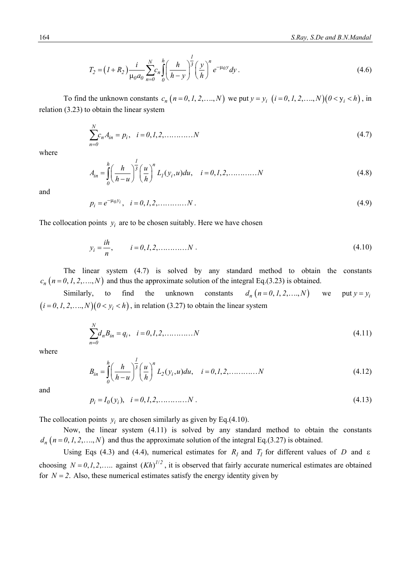$$
T_2 = (I + R_2) \frac{i}{\mu_0 a_0} \sum_{n=0}^{N} c_n \int_0^h \left(\frac{h}{h - y}\right)^{\frac{1}{3}} \left(\frac{y}{h}\right)^n e^{-\mu_0 y} dy.
$$
 (4.6)

To find the unknown constants  $c_n$   $(n = 0, 1, 2, ..., N)$  we put  $y = y_i$   $(i = 0, 1, 2, ..., N)$  $(0 < y_i < h)$ , in relation (3.23) to obtain the linear system

$$
\sum_{n=0}^{N} c_n A_{in} = p_i, \quad i = 0, 1, 2, \dots, N
$$
\n(4.7)

where

$$
A_{in} = \int_{0}^{h} \left(\frac{h}{h-u}\right)^{\frac{1}{3}} \left(\frac{u}{h}\right)^{n} L_{1}(y_{i},u) du, \quad i = 0,1,2,\dots,\dots,N
$$
\n(4.8)

and

$$
p_i = e^{-\mu_0 y_i}, \quad i = 0, 1, 2, \dots, N. \tag{4.9}
$$

The collocation points  $y_i$  are to be chosen suitably. Here we have chosen

$$
y_i = \frac{ih}{n}, \qquad i = 0, 1, 2, \dots, N \tag{4.10}
$$

 The linear system (4.7) is solved by any standard method to obtain the constants  $c_n$  ( $n = 0, 1, 2, \dots, N$ ) and thus the approximate solution of the integral Eq.(3.23) is obtained.

Similarly, to find the unknown constants  $d_n (n = 0, 1, 2, \dots, N)$  we put  $y = y_i$  $(i = 0, 1, 2, \ldots, N)(0 < y_i < h)$ , in relation (3.27) to obtain the linear system

$$
\sum_{n=0}^{N} d_n B_{in} = q_i, \quad i = 0, 1, 2, \dots, N
$$
\n(4.11)

where

$$
B_{in} = \int_{0}^{h} \left(\frac{h}{h-u}\right)^{\frac{1}{3}} \left(\frac{u}{h}\right)^{n} L_{2}(y_{i},u) du, \quad i = 0,1,2,... \dots N
$$
\n(4.12)

and

$$
p_i = I_0(y_i), \quad i = 0, 1, 2, \dots, N. \tag{4.13}
$$

The collocation points  $y_i$  are chosen similarly as given by Eq.(4.10).

 Now, the linear system (4.11) is solved by any standard method to obtain the constants  $d_n$  ( $n = 0, 1, 2, \dots, N$ ) and thus the approximate solution of the integral Eq.(3.27) is obtained.

Using Eqs (4.3) and (4.4), numerical estimates for  $R_I$  and  $T_I$  for different values of *D* and  $\varepsilon$ choosing  $N = 0, 1, 2, \dots$  against  $(Kh)^{1/2}$ , it is observed that fairly accurate numerical estimates are obtained for  $N = 2$ . Also, these numerical estimates satisfy the energy identity given by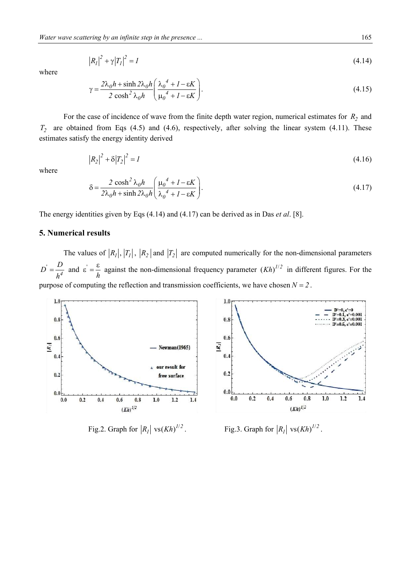$$
|R_I|^2 + \gamma |T_I|^2 = I \tag{4.14}
$$

where

$$
\gamma = \frac{2\lambda_0 h + \sinh 2\lambda_0 h}{2 \cosh^2 \lambda_0 h} \left( \frac{\lambda_0^4 + I - \varepsilon K}{\mu_0^4 + I - \varepsilon K} \right). \tag{4.15}
$$

For the case of incidence of wave from the finite depth water region, numerical estimates for  $R_2$  and  $T_2$  are obtained from Eqs (4.5) and (4.6), respectively, after solving the linear system (4.11). These estimates satisfy the energy identity derived

$$
|R_2|^2 + \delta |T_2|^2 = I \tag{4.16}
$$

where

$$
\delta = \frac{2 \cosh^2 \lambda_0 h}{2 \lambda_0 h + \sinh 2 \lambda_0 h} \left( \frac{\mu_0^4 + I - \varepsilon K}{\lambda_0^4 + I - \varepsilon K} \right). \tag{4.17}
$$

The energy identities given by Eqs (4.14) and (4.17) can be derived as in Das *et al*. [8].

## **5. Numerical results**

The values of  $|R_1|, |T_1|, |R_2|$  and  $|T_2|$  are computed numerically for the non-dimensional parameters  $\mu' = \frac{D}{h^4}$  $D' = \frac{D}{\sqrt{2}}$ *h*  $=\frac{D}{4}$  and  $\varepsilon$ *h*  $\epsilon' = \frac{\epsilon}{l}$  against the non-dimensional frequency parameter  $(Kh)^{1/2}$  in different figures. For the purpose of computing the reflection and transmission coefficients, we have chosen  $N = 2$ .



Fig.2. Graph for  $|R_l|$  vs  $(Kh)^{l/2}$ 

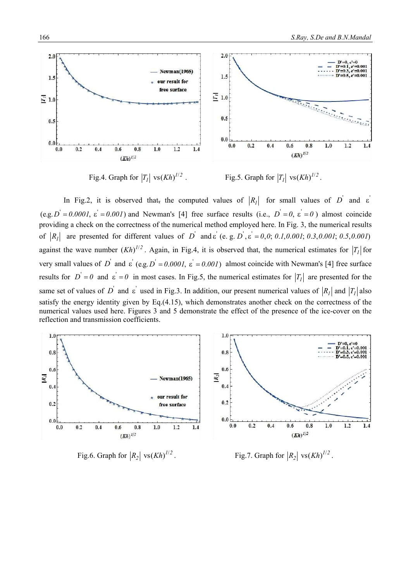

Fig.4. Graph for  $|T_1|$  vs $(Kh)^{1/2}$ .

 $F$ ig.5. Graph for  $|T_1|$  vs  $(Kh)^{1/2}$ .

In Fig.2, it is observed that, the computed values of  $|R_1|$  for small values of  $D'$  and  $\varepsilon$  $(e.g. D' = 0.0001, \varepsilon' = 0.001)$  and Newman's [4] free surface results (i.e.,  $D' = 0$ ,  $\varepsilon' = 0$ ) almost coincide providing a check on the correctness of the numerical method employed here. In Fig. 3, the numerical results of  $|R_1|$  are presented for different values of  $D'$  and  $\varepsilon'$  (e. g.  $D', \varepsilon' = 0, 0; 0.1, 0.001; 0.3, 0.001; 0.5, 0.001$ ) against the wave number  $(Kh)^{1/2}$ . Again, in Fig.4, it is observed that, the numerical estimates for  $|T_1|$  for very small values of  $D^{'}$  and  $\varepsilon^{'}$  (e.g.  $D^{'} = 0.000I$ ,  $\varepsilon^{'} = 0.00I$ ) almost coincide with Newman's [4] free surface results for  $D' = 0$  and  $\varepsilon' = 0$  in most cases. In Fig.5, the numerical estimates for  $|T_I|$  are presented for the same set of values of D<sup>'</sup> and  $\varepsilon$ <sup>'</sup> used in Fig.3. In addition, our present numerical values of  $|R_1|$  and  $|T_1|$  also satisfy the energy identity given by Eq.(4.15), which demonstrates another check on the correctness of the numerical values used here. Figures 3 and 5 demonstrate the effect of the presence of the ice-cover on the reflection and transmission coefficients.



Fig.6. Graph for  $|R_2|$  vs $(Kh)^{1/2}$ *h*  $^{1/2}$ . Fig.7. Graph for  $|R_2|$  vs  $(Kh)^{1/2}$ .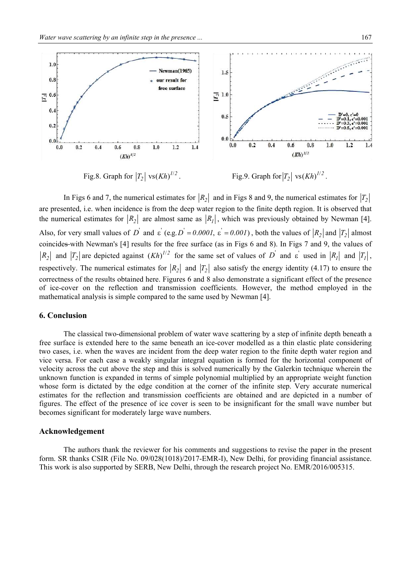

Fig.8. Graph for  $|T_2|$  vs $(Kh)^{1/2}$ 

*h*)<sup> $1/2$ </sup>. Fig.9. Graph for  $|T_2|$  vs  $(Kh)^{1/2}$ .

In Figs 6 and 7, the numerical estimates for  $|R_2|$  and in Figs 8 and 9, the numerical estimates for  $|T_2|$ are presented, i.e. when incidence is from the deep water region to the finite depth region. It is observed that the numerical estimates for  $|R_2|$  are almost same as  $|R_1|$ , which was previously obtained by Newman [4]. Also, for very small values of D<sup>'</sup> and  $\varepsilon'$  (e.g.  $D' = 0.0001$ ,  $\varepsilon' = 0.001$ ), both the values of  $|R_2|$  and  $|T_2|$  almost coincides with Newman's [4] results for the free surface (as in Figs 6 and 8). In Figs 7 and 9, the values of  $R_2$  and  $|T_2|$  are depicted against  $(Kh)^{1/2}$  for the same set of values of  $D$  and  $\varepsilon$  used in  $|R_1|$  and  $|T_1|$ , respectively. The numerical estimates for  $|R_2|$  and  $|T_2|$  also satisfy the energy identity (4.17) to ensure the correctness of the results obtained here. Figures 6 and 8 also demonstrate a significant effect of the presence of ice-cover on the reflection and transmission coefficients. However, the method employed in the mathematical analysis is simple compared to the same used by Newman [4].

## **6. Conclusion**

 The classical two-dimensional problem of water wave scattering by a step of infinite depth beneath a free surface is extended here to the same beneath an ice-cover modelled as a thin elastic plate considering two cases, i.e. when the waves are incident from the deep water region to the finite depth water region and vice versa. For each case a weakly singular integral equation is formed for the horizontal component of velocity across the cut above the step and this is solved numerically by the Galerkin technique wherein the unknown function is expanded in terms of simple polynomial multiplied by an appropriate weight function whose form is dictated by the edge condition at the corner of the infinite step. Very accurate numerical estimates for the reflection and transmission coefficients are obtained and are depicted in a number of figures. The effect of the presence of ice cover is seen to be insignificant for the small wave number but becomes significant for moderately large wave numbers.

#### **Acknowledgement**

 The authors thank the reviewer for his comments and suggestions to revise the paper in the present form. SR thanks CSIR (File No. 09/028(1018)/2017-EMR-I), New Delhi, for providing financial assistance. This work is also supported by SERB, New Delhi, through the research project No. EMR/2016/005315.